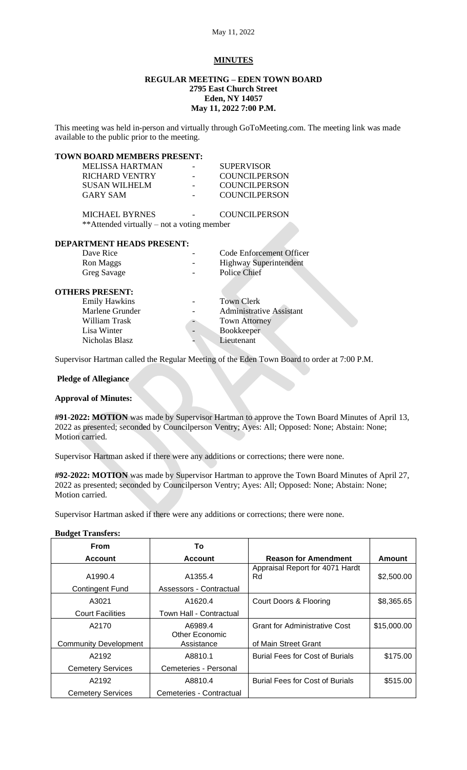# **MINUTES**

#### **REGULAR MEETING – EDEN TOWN BOARD 2795 East Church Street Eden, NY 14057 May 11, 2022 7:00 P.M.**

This meeting was held in-person and virtually through GoToMeeting.com. The meeting link was made available to the public prior to the meeting.

# **TOWN BOARD MEMBERS PRESENT:**

| <b>MELISSA HARTMAN</b>                     | <b>SUPERVISOR</b>               |
|--------------------------------------------|---------------------------------|
| <b>RICHARD VENTRY</b>                      | <b>COUNCILPERSON</b>            |
| <b>SUSAN WILHELM</b>                       | <b>COUNCILPERSON</b>            |
| <b>GARY SAM</b>                            | <b>COUNCILPERSON</b>            |
| <b>MICHAEL BYRNES</b>                      | <b>COUNCILPERSON</b>            |
| **Attended virtually – not a voting member |                                 |
| <b>DEPARTMENT HEADS PRESENT:</b>           |                                 |
| Dave Rice                                  | Code Enforcement Officer        |
| Ron Maggs                                  | <b>Highway Superintendent</b>   |
| Greg Savage                                | <b>Police Chief</b>             |
| <b>OTHERS PRESENT:</b>                     |                                 |
| <b>Emily Hawkins</b>                       | <b>Town Clerk</b>               |
| Marlene Grunder                            | <b>Administrative Assistant</b> |

William Trask **Town Attorney** Lisa Winter **Construction** Bookkeeper Nicholas Blasz **Lieutenant** 

Supervisor Hartman called the Regular Meeting of the Eden Town Board to order at 7:00 P.M.

## **Pledge of Allegiance**

### **Approval of Minutes:**

**#91-2022: MOTION** was made by Supervisor Hartman to approve the Town Board Minutes of April 13, 2022 as presented; seconded by Councilperson Ventry; Ayes: All; Opposed: None; Abstain: None; Motion carried.

Supervisor Hartman asked if there were any additions or corrections; there were none.

**#92-2022: MOTION** was made by Supervisor Hartman to approve the Town Board Minutes of April 27, 2022 as presented; seconded by Councilperson Ventry; Ayes: All; Opposed: None; Abstain: None; Motion carried.

Supervisor Hartman asked if there were any additions or corrections; there were none.

### **Budget Transfers:**

| <b>From</b>                  | Т٥                                 |                                        |             |
|------------------------------|------------------------------------|----------------------------------------|-------------|
| <b>Account</b>               | <b>Account</b>                     | <b>Reason for Amendment</b>            | Amount      |
| A1990.4<br>Contingent Fund   | A1355.4<br>Assessors - Contractual | Appraisal Report for 4071 Hardt<br>Rd  | \$2,500.00  |
| A3021                        | A1620.4                            | Court Doors & Flooring                 | \$8,365.65  |
| <b>Court Facilities</b>      | Town Hall - Contractual            |                                        |             |
| A2170                        | A6989.4<br>Other Economic          | <b>Grant for Administrative Cost</b>   | \$15,000.00 |
| <b>Community Development</b> | Assistance                         | of Main Street Grant                   |             |
| A2192                        | A8810.1                            | <b>Burial Fees for Cost of Burials</b> | \$175.00    |
| <b>Cemetery Services</b>     | Cemeteries - Personal              |                                        |             |
| A2192                        | A8810.4                            | <b>Burial Fees for Cost of Burials</b> | \$515.00    |
| <b>Cemetery Services</b>     | Cemeteries - Contractual           |                                        |             |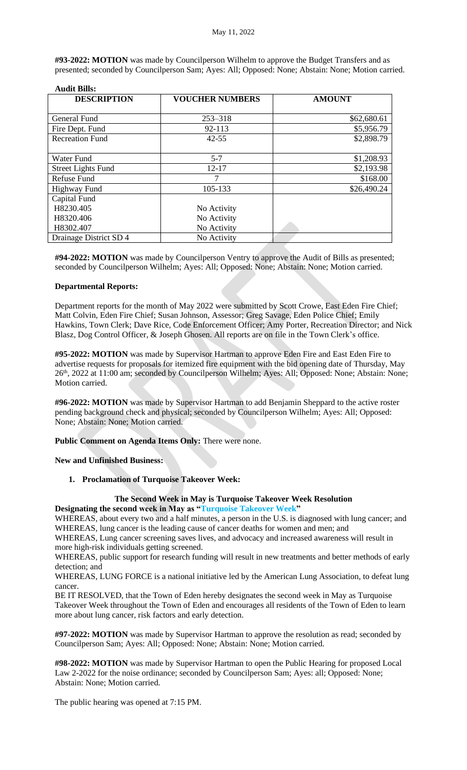**#93-2022: MOTION** was made by Councilperson Wilhelm to approve the Budget Transfers and as presented; seconded by Councilperson Sam; Ayes: All; Opposed: None; Abstain: None; Motion carried.

| <b>DESCRIPTION</b>        | <b>VOUCHER NUMBERS</b> | <b>AMOUNT</b> |  |
|---------------------------|------------------------|---------------|--|
|                           |                        |               |  |
| General Fund              | $253 - 318$            | \$62,680.61   |  |
| Fire Dept. Fund           | 92-113                 | \$5,956.79    |  |
| <b>Recreation Fund</b>    | $42 - 55$              | \$2,898.79    |  |
|                           |                        |               |  |
| Water Fund                | $5 - 7$                | \$1,208.93    |  |
| <b>Street Lights Fund</b> | $12 - 17$              | \$2,193.98    |  |
| Refuse Fund               |                        | \$168.00      |  |
| <b>Highway Fund</b>       | 105-133                | \$26,490.24   |  |
| Capital Fund              |                        |               |  |
| H8230.405                 | No Activity            |               |  |
| H8320.406                 | No Activity            |               |  |
| H8302.407                 | No Activity            |               |  |
| Drainage District SD 4    | No Activity            |               |  |

#### **Audit Bills:**

**#94-2022: MOTION** was made by Councilperson Ventry to approve the Audit of Bills as presented; seconded by Councilperson Wilhelm; Ayes: All; Opposed: None; Abstain: None; Motion carried.

#### **Departmental Reports:**

Department reports for the month of May 2022 were submitted by Scott Crowe, East Eden Fire Chief; Matt Colvin, Eden Fire Chief; Susan Johnson, Assessor; Greg Savage, Eden Police Chief; Emily Hawkins, Town Clerk; Dave Rice, Code Enforcement Officer; Amy Porter, Recreation Director; and Nick Blasz, Dog Control Officer, & Joseph Ghosen. All reports are on file in the Town Clerk's office.

**#95-2022: MOTION** was made by Supervisor Hartman to approve Eden Fire and East Eden Fire to advertise requests for proposals for itemized fire equipment with the bid opening date of Thursday, May 26<sup>th</sup>, 2022 at 11:00 am; seconded by Councilperson Wilhelm; Ayes: All; Opposed: None; Abstain: None; Motion carried.

**#96-2022: MOTION** was made by Supervisor Hartman to add Benjamin Sheppard to the active roster pending background check and physical; seconded by Councilperson Wilhelm; Ayes: All; Opposed: None; Abstain: None; Motion carried.

**Public Comment on Agenda Items Only:** There were none.

**New and Unfinished Business:**

**1. Proclamation of Turquoise Takeover Week:**

#### **The Second Week in May is Turquoise Takeover Week Resolution Designating the second week in May as "Turquoise Takeover Week"**

WHEREAS, about every two and a half minutes, a person in the U.S. is diagnosed with lung cancer; and WHEREAS, lung cancer is the leading cause of cancer deaths for women and men; and

WHEREAS, Lung cancer screening saves lives, and advocacy and increased awareness will result in more high-risk individuals getting screened.

WHEREAS, public support for research funding will result in new treatments and better methods of early detection; and

WHEREAS, LUNG FORCE is a national initiative led by the American Lung Association, to defeat lung cancer.

BE IT RESOLVED, that the Town of Eden hereby designates the second week in May as Turquoise Takeover Week throughout the Town of Eden and encourages all residents of the Town of Eden to learn more about lung cancer, risk factors and early detection.

**#97-2022: MOTION** was made by Supervisor Hartman to approve the resolution as read; seconded by Councilperson Sam; Ayes: All; Opposed: None; Abstain: None; Motion carried.

**#98-2022: MOTION** was made by Supervisor Hartman to open the Public Hearing for proposed Local Law 2-2022 for the noise ordinance; seconded by Councilperson Sam; Ayes: all; Opposed: None; Abstain: None; Motion carried.

The public hearing was opened at 7:15 PM.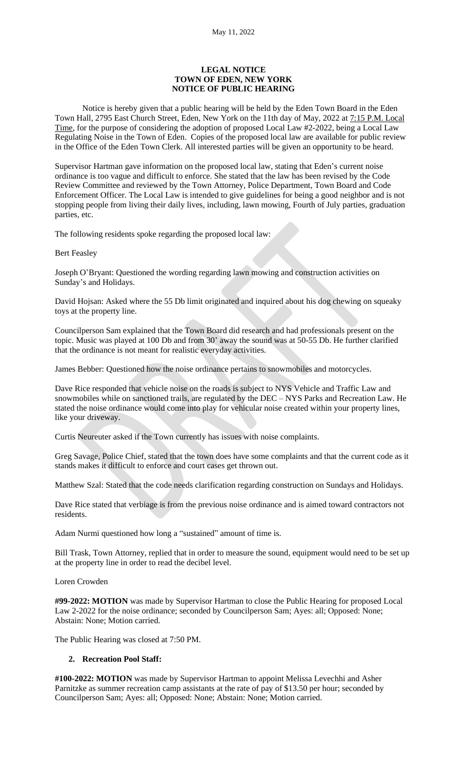#### **LEGAL NOTICE TOWN OF EDEN, NEW YORK NOTICE OF PUBLIC HEARING**

Notice is hereby given that a public hearing will be held by the Eden Town Board in the Eden Town Hall, 2795 East Church Street, Eden, New York on the 11th day of May, 2022 at 7:15 P.M. Local Time, for the purpose of considering the adoption of proposed Local Law #2-2022, being a Local Law Regulating Noise in the Town of Eden. Copies of the proposed local law are available for public review in the Office of the Eden Town Clerk. All interested parties will be given an opportunity to be heard.

Supervisor Hartman gave information on the proposed local law, stating that Eden's current noise ordinance is too vague and difficult to enforce. She stated that the law has been revised by the Code Review Committee and reviewed by the Town Attorney, Police Department, Town Board and Code Enforcement Officer. The Local Law is intended to give guidelines for being a good neighbor and is not stopping people from living their daily lives, including, lawn mowing, Fourth of July parties, graduation parties, etc.

The following residents spoke regarding the proposed local law:

Bert Feasley

Joseph O'Bryant: Questioned the wording regarding lawn mowing and construction activities on Sunday's and Holidays.

David Hojsan: Asked where the 55 Db limit originated and inquired about his dog chewing on squeaky toys at the property line.

Councilperson Sam explained that the Town Board did research and had professionals present on the topic. Music was played at 100 Db and from 30' away the sound was at 50-55 Db. He further clarified that the ordinance is not meant for realistic everyday activities.

James Bebber: Questioned how the noise ordinance pertains to snowmobiles and motorcycles.

Dave Rice responded that vehicle noise on the roads is subject to NYS Vehicle and Traffic Law and snowmobiles while on sanctioned trails, are regulated by the DEC – NYS Parks and Recreation Law. He stated the noise ordinance would come into play for vehicular noise created within your property lines, like your driveway.

Curtis Neureuter asked if the Town currently has issues with noise complaints.

Greg Savage, Police Chief, stated that the town does have some complaints and that the current code as it stands makes it difficult to enforce and court cases get thrown out.

Matthew Szal: Stated that the code needs clarification regarding construction on Sundays and Holidays.

Dave Rice stated that verbiage is from the previous noise ordinance and is aimed toward contractors not residents.

Adam Nurmi questioned how long a "sustained" amount of time is.

Bill Trask, Town Attorney, replied that in order to measure the sound, equipment would need to be set up at the property line in order to read the decibel level.

Loren Crowden

**#99-2022: MOTION** was made by Supervisor Hartman to close the Public Hearing for proposed Local Law 2-2022 for the noise ordinance; seconded by Councilperson Sam; Ayes: all; Opposed: None; Abstain: None; Motion carried.

The Public Hearing was closed at 7:50 PM.

#### **2. Recreation Pool Staff:**

**#100-2022: MOTION** was made by Supervisor Hartman to appoint Melissa Levechhi and Asher Parnitzke as summer recreation camp assistants at the rate of pay of \$13.50 per hour; seconded by Councilperson Sam; Ayes: all; Opposed: None; Abstain: None; Motion carried.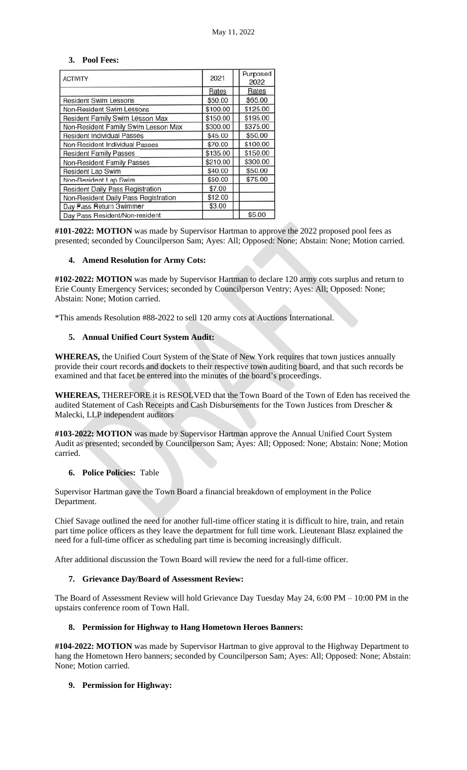### **3. Pool Fees:**

| <b>ACTIVITY</b>                      | 2021     | Purposed<br>2022 |
|--------------------------------------|----------|------------------|
|                                      | Rates    | Rates            |
| <b>Resident Swim Lessons</b>         | \$50.00  | \$65.00          |
| Non-Resident Swim Lessons            | \$100.00 | \$125.00         |
| Resident Family Swim Lesson Max      | \$150.00 | \$195.00         |
| Non-Resident Family Swim Lesson Max  | \$300.00 | \$375.00         |
| <b>Resident Individual Passes</b>    | \$45.00  | \$50.00          |
| Non-Resident Individual Passes       | \$70.00  | \$100.00         |
| <b>Resident Family Passes</b>        | \$135.00 | \$150.00         |
| Non-Resident Family Passes           | \$210.00 | \$300.00         |
| Resident Lap Swim                    | \$40.00  | \$50.00          |
| Non-Resident Lap Swim                | \$50.00  | \$75.00          |
| Resident Daily Pass Registration     | \$7.00   |                  |
| Non-Resident Daily Pass Registration | \$12.00  |                  |
| Day Pass Return 3wimmer              | \$3.00   |                  |
| Day Pass Resident/Non-resident       |          | \$5.00           |

**#101-2022: MOTION** was made by Supervisor Hartman to approve the 2022 proposed pool fees as presented; seconded by Councilperson Sam; Ayes: All; Opposed: None; Abstain: None; Motion carried.

### **4. Amend Resolution for Army Cots:**

**#102-2022: MOTION** was made by Supervisor Hartman to declare 120 army cots surplus and return to Erie County Emergency Services; seconded by Councilperson Ventry; Ayes: All; Opposed: None; Abstain: None; Motion carried.

\*This amends Resolution #88-2022 to sell 120 army cots at Auctions International.

### **5. Annual Unified Court System Audit:**

**WHEREAS,** the Unified Court System of the State of New York requires that town justices annually provide their court records and dockets to their respective town auditing board, and that such records be examined and that facet be entered into the minutes of the board's proceedings.

**WHEREAS,** THEREFORE it is RESOLVED that the Town Board of the Town of Eden has received the audited Statement of Cash Receipts and Cash Disbursements for the Town Justices from Drescher & Malecki, LLP independent auditors

**#103-2022: MOTION** was made by Supervisor Hartman approve the Annual Unified Court System Audit as presented; seconded by Councilperson Sam; Ayes: All; Opposed: None; Abstain: None; Motion carried.

### **6. Police Policies:** Table

Supervisor Hartman gave the Town Board a financial breakdown of employment in the Police Department.

Chief Savage outlined the need for another full-time officer stating it is difficult to hire, train, and retain part time police officers as they leave the department for full time work. Lieutenant Blasz explained the need for a full-time officer as scheduling part time is becoming increasingly difficult.

After additional discussion the Town Board will review the need for a full-time officer.

### **7. Grievance Day/Board of Assessment Review:**

The Board of Assessment Review will hold Grievance Day Tuesday May 24, 6:00 PM – 10:00 PM in the upstairs conference room of Town Hall.

## **8. Permission for Highway to Hang Hometown Heroes Banners:**

**#104-2022: MOTION** was made by Supervisor Hartman to give approval to the Highway Department to hang the Hometown Hero banners; seconded by Councilperson Sam; Ayes: All; Opposed: None; Abstain: None; Motion carried.

### **9. Permission for Highway:**